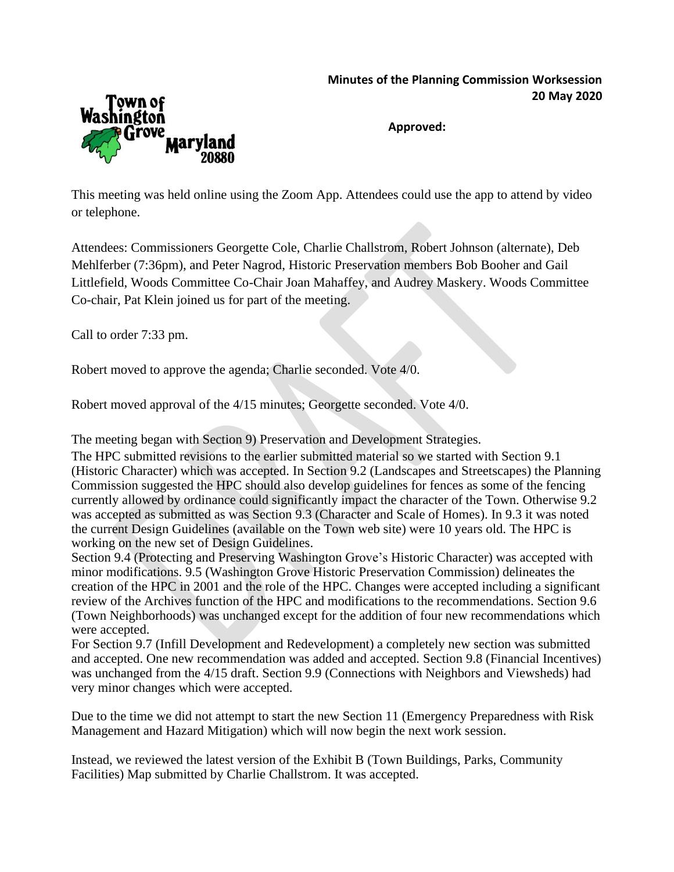## **Minutes of the Planning Commission Worksession 20 May 2020**



**Approved:**

This meeting was held online using the Zoom App. Attendees could use the app to attend by video or telephone.

Attendees: Commissioners Georgette Cole, Charlie Challstrom, Robert Johnson (alternate), Deb Mehlferber (7:36pm), and Peter Nagrod, Historic Preservation members Bob Booher and Gail Littlefield, Woods Committee Co-Chair Joan Mahaffey, and Audrey Maskery. Woods Committee Co-chair, Pat Klein joined us for part of the meeting.

Call to order 7:33 pm.

Robert moved to approve the agenda; Charlie seconded. Vote 4/0.

Robert moved approval of the 4/15 minutes; Georgette seconded. Vote 4/0.

The meeting began with Section 9) Preservation and Development Strategies.

The HPC submitted revisions to the earlier submitted material so we started with Section 9.1 (Historic Character) which was accepted. In Section 9.2 (Landscapes and Streetscapes) the Planning Commission suggested the HPC should also develop guidelines for fences as some of the fencing currently allowed by ordinance could significantly impact the character of the Town. Otherwise 9.2 was accepted as submitted as was Section 9.3 (Character and Scale of Homes). In 9.3 it was noted the current Design Guidelines (available on the Town web site) were 10 years old. The HPC is working on the new set of Design Guidelines.

Section 9.4 (Protecting and Preserving Washington Grove's Historic Character) was accepted with minor modifications. 9.5 (Washington Grove Historic Preservation Commission) delineates the creation of the HPC in 2001 and the role of the HPC. Changes were accepted including a significant review of the Archives function of the HPC and modifications to the recommendations. Section 9.6 (Town Neighborhoods) was unchanged except for the addition of four new recommendations which were accepted.

For Section 9.7 (Infill Development and Redevelopment) a completely new section was submitted and accepted. One new recommendation was added and accepted. Section 9.8 (Financial Incentives) was unchanged from the 4/15 draft. Section 9.9 (Connections with Neighbors and Viewsheds) had very minor changes which were accepted.

Due to the time we did not attempt to start the new Section 11 (Emergency Preparedness with Risk Management and Hazard Mitigation) which will now begin the next work session.

Instead, we reviewed the latest version of the Exhibit B (Town Buildings, Parks, Community Facilities) Map submitted by Charlie Challstrom. It was accepted.